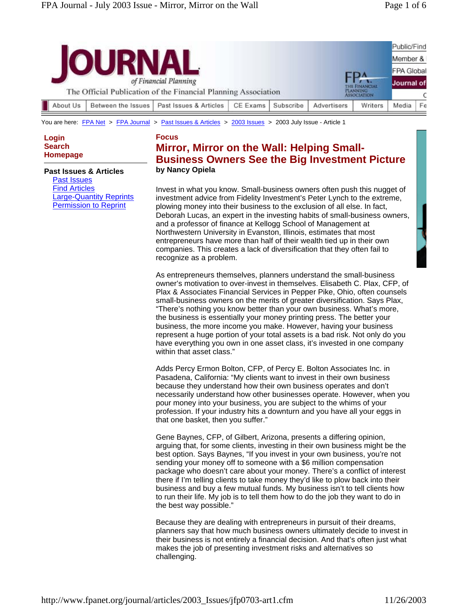| of Financial Planning<br>The Official Publication of the Financial Planning Association |  |  |  |  |  | ЕDИ<br>THE FINANCIAL<br><b>PLANNING</b><br><b>ASSOCIATION</b> |  | Public/Find<br>Member &<br><b>FPA Global</b><br>Journal of |  |  |          |                    |                        |          |           |             |         |       |    |
|-----------------------------------------------------------------------------------------|--|--|--|--|--|---------------------------------------------------------------|--|------------------------------------------------------------|--|--|----------|--------------------|------------------------|----------|-----------|-------------|---------|-------|----|
|                                                                                         |  |  |  |  |  |                                                               |  |                                                            |  |  | About Us | Between the Issues | Past Issues & Articles | CE Exams | Subscribe | Advertisers | Writers | Media | Fe |

You are here: FPA Net > FPA Journal > Past Issues & Articles > 2003 Issues > 2003 July Issue - Article 1

**Login Search Homepage**

#### **Past Issues & Articles**

Past Issues Find Articles Large-Quantity Reprints Permission to Reprint

### **Focus Mirror, Mirror on the Wall: Helping Small-Business Owners See the Big Investment Picture by Nancy Opiela**

Invest in what you know. Small-business owners often push this nugget of investment advice from Fidelity Investment's Peter Lynch to the extreme, plowing money into their business to the exclusion of all else. In fact, Deborah Lucas, an expert in the investing habits of small-business owners, and a professor of finance at Kellogg School of Management at Northwestern University in Evanston, Illinois, estimates that most entrepreneurs have more than half of their wealth tied up in their own companies. This creates a lack of diversification that they often fail to recognize as a problem.

As entrepreneurs themselves, planners understand the small-business owner's motivation to over-invest in themselves. Elisabeth C. Plax, CFP, of Plax & Associates Financial Services in Pepper Pike, Ohio, often counsels small-business owners on the merits of greater diversification. Says Plax, "There's nothing you know better than your own business. What's more, the business is essentially your money printing press. The better your business, the more income you make. However, having your business represent a huge portion of your total assets is a bad risk. Not only do you have everything you own in one asset class, it's invested in one company within that asset class."

Adds Percy Ermon Bolton, CFP, of Percy E. Bolton Associates Inc. in Pasadena, California: "My clients want to invest in their own business because they understand how their own business operates and don't necessarily understand how other businesses operate. However, when you pour money into your business, you are subject to the whims of your profession. If your industry hits a downturn and you have all your eggs in that one basket, then you suffer."

Gene Baynes, CFP, of Gilbert, Arizona, presents a differing opinion, arguing that, for some clients, investing in their own business might be the best option. Says Baynes, "If you invest in your own business, you're not sending your money off to someone with a \$6 million compensation package who doesn't care about your money. There's a conflict of interest there if I'm telling clients to take money they'd like to plow back into their business and buy a few mutual funds. My business isn't to tell clients how to run their life. My job is to tell them how to do the job they want to do in the best way possible."

Because they are dealing with entrepreneurs in pursuit of their dreams, planners say that how much business owners ultimately decide to invest in their business is not entirely a financial decision. And that's often just what makes the job of presenting investment risks and alternatives so challenging.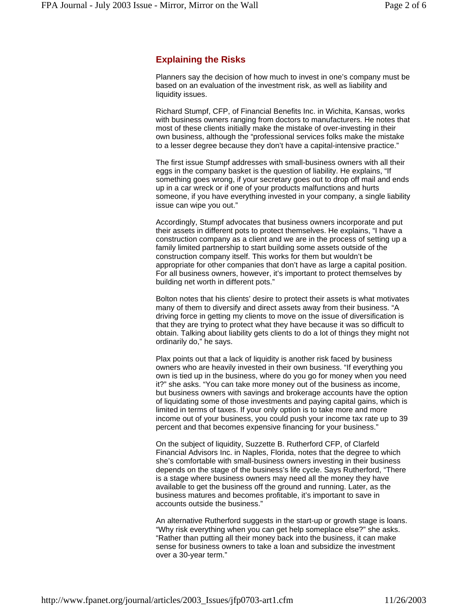## **Explaining the Risks**

Planners say the decision of how much to invest in one's company must be based on an evaluation of the investment risk, as well as liability and liquidity issues.

Richard Stumpf, CFP, of Financial Benefits Inc. in Wichita, Kansas, works with business owners ranging from doctors to manufacturers. He notes that most of these clients initially make the mistake of over-investing in their own business, although the "professional services folks make the mistake to a lesser degree because they don't have a capital-intensive practice."

The first issue Stumpf addresses with small-business owners with all their eggs in the company basket is the question of liability. He explains, "If something goes wrong, if your secretary goes out to drop off mail and ends up in a car wreck or if one of your products malfunctions and hurts someone, if you have everything invested in your company, a single liability issue can wipe you out."

Accordingly, Stumpf advocates that business owners incorporate and put their assets in different pots to protect themselves. He explains, "I have a construction company as a client and we are in the process of setting up a family limited partnership to start building some assets outside of the construction company itself. This works for them but wouldn't be appropriate for other companies that don't have as large a capital position. For all business owners, however, it's important to protect themselves by building net worth in different pots."

Bolton notes that his clients' desire to protect their assets is what motivates many of them to diversify and direct assets away from their business. "A driving force in getting my clients to move on the issue of diversification is that they are trying to protect what they have because it was so difficult to obtain. Talking about liability gets clients to do a lot of things they might not ordinarily do," he says.

Plax points out that a lack of liquidity is another risk faced by business owners who are heavily invested in their own business. "If everything you own is tied up in the business, where do you go for money when you need it?" she asks. "You can take more money out of the business as income, but business owners with savings and brokerage accounts have the option of liquidating some of those investments and paying capital gains, which is limited in terms of taxes. If your only option is to take more and more income out of your business, you could push your income tax rate up to 39 percent and that becomes expensive financing for your business."

On the subject of liquidity, Suzzette B. Rutherford CFP, of Clarfeld Financial Advisors Inc. in Naples, Florida, notes that the degree to which she's comfortable with small-business owners investing in their business depends on the stage of the business's life cycle. Says Rutherford, "There is a stage where business owners may need all the money they have available to get the business off the ground and running. Later, as the business matures and becomes profitable, it's important to save in accounts outside the business."

An alternative Rutherford suggests in the start-up or growth stage is loans. "Why risk everything when you can get help someplace else?" she asks. "Rather than putting all their money back into the business, it can make sense for business owners to take a loan and subsidize the investment over a 30-year term."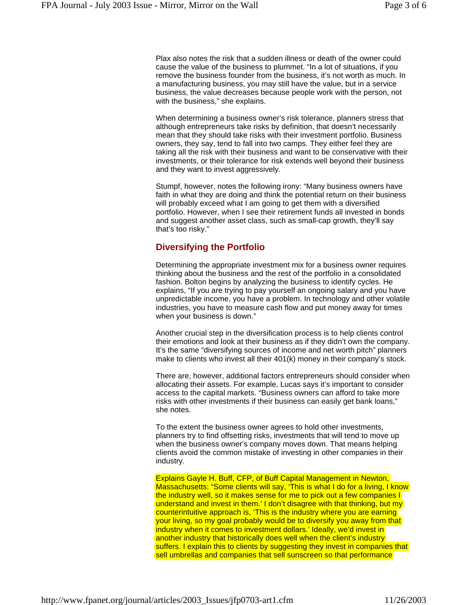Plax also notes the risk that a sudden illness or death of the owner could cause the value of the business to plummet. "In a lot of situations, if you remove the business founder from the business, it's not worth as much. In a manufacturing business, you may still have the value, but in a service business, the value decreases because people work with the person, not with the business," she explains.

When determining a business owner's risk tolerance, planners stress that although entrepreneurs take risks by definition, that doesn't necessarily mean that they should take risks with their investment portfolio. Business owners, they say, tend to fall into two camps. They either feel they are taking all the risk with their business and want to be conservative with their investments, or their tolerance for risk extends well beyond their business and they want to invest aggressively.

Stumpf, however, notes the following irony: "Many business owners have faith in what they are doing and think the potential return on their business will probably exceed what I am going to get them with a diversified portfolio. However, when I see their retirement funds all invested in bonds and suggest another asset class, such as small-cap growth, they'll say that's too risky."

#### **Diversifying the Portfolio**

Determining the appropriate investment mix for a business owner requires thinking about the business and the rest of the portfolio in a consolidated fashion. Bolton begins by analyzing the business to identify cycles. He explains, "If you are trying to pay yourself an ongoing salary and you have unpredictable income, you have a problem. In technology and other volatile industries, you have to measure cash flow and put money away for times when your business is down."

Another crucial step in the diversification process is to help clients control their emotions and look at their business as if they didn't own the company. It's the same "diversifying sources of income and net worth pitch" planners make to clients who invest all their 401(k) money in their company's stock.

There are, however, additional factors entrepreneurs should consider when allocating their assets. For example, Lucas says it's important to consider access to the capital markets. "Business owners can afford to take more risks with other investments if their business can easily get bank loans," she notes.

To the extent the business owner agrees to hold other investments, planners try to find offsetting risks, investments that will tend to move up when the business owner's company moves down. That means helping clients avoid the common mistake of investing in other companies in their industry.

Explains Gayle H. Buff, CFP, of Buff Capital Management in Newton, Massachusetts: "Some clients will say, 'This is what I do for a living, I know the industry well, so it makes sense for me to pick out a few companies I understand and invest in them.' I don't disagree with that thinking, but my counterintuitive approach is, 'This is the industry where you are earning your living, so my goal probably would be to diversify you away from that industry when it comes to investment dollars.' Ideally, we'd invest in another industry that historically does well when the client's industry suffers. I explain this to clients by suggesting they invest in companies that sell umbrellas and companies that sell sunscreen so that performance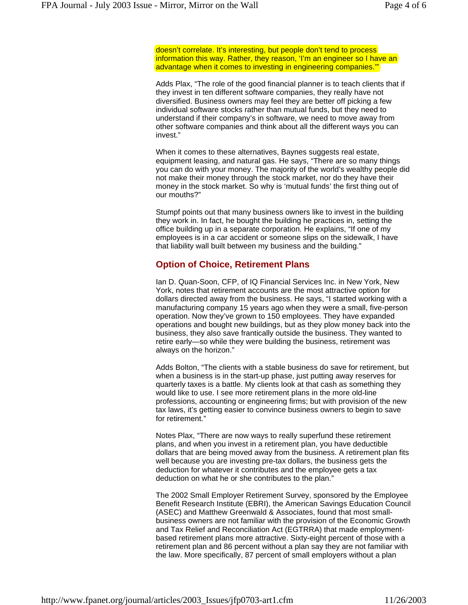doesn't correlate. It's interesting, but people don't tend to process information this way. Rather, they reason, 'I'm an engineer so I have an advantage when it comes to investing in engineering companies.""

Adds Plax, "The role of the good financial planner is to teach clients that if they invest in ten different software companies, they really have not diversified. Business owners may feel they are better off picking a few individual software stocks rather than mutual funds, but they need to understand if their company's in software, we need to move away from other software companies and think about all the different ways you can invest."

When it comes to these alternatives, Baynes suggests real estate, equipment leasing, and natural gas. He says, "There are so many things you can do with your money. The majority of the world's wealthy people did not make their money through the stock market, nor do they have their money in the stock market. So why is 'mutual funds' the first thing out of our mouths?"

Stumpf points out that many business owners like to invest in the building they work in. In fact, he bought the building he practices in, setting the office building up in a separate corporation. He explains, "If one of my employees is in a car accident or someone slips on the sidewalk, I have that liability wall built between my business and the building."

#### **Option of Choice, Retirement Plans**

Ian D. Quan-Soon, CFP, of IQ Financial Services Inc. in New York, New York, notes that retirement accounts are the most attractive option for dollars directed away from the business. He says, "I started working with a manufacturing company 15 years ago when they were a small, five-person operation. Now they've grown to 150 employees. They have expanded operations and bought new buildings, but as they plow money back into the business, they also save frantically outside the business. They wanted to retire early—so while they were building the business, retirement was always on the horizon."

Adds Bolton, "The clients with a stable business do save for retirement, but when a business is in the start-up phase, just putting away reserves for quarterly taxes is a battle. My clients look at that cash as something they would like to use. I see more retirement plans in the more old-line professions, accounting or engineering firms; but with provision of the new tax laws, it's getting easier to convince business owners to begin to save for retirement."

Notes Plax, "There are now ways to really superfund these retirement plans, and when you invest in a retirement plan, you have deductible dollars that are being moved away from the business. A retirement plan fits well because you are investing pre-tax dollars, the business gets the deduction for whatever it contributes and the employee gets a tax deduction on what he or she contributes to the plan."

The 2002 Small Employer Retirement Survey, sponsored by the Employee Benefit Research Institute (EBRI), the American Savings Education Council (ASEC) and Matthew Greenwald & Associates, found that most smallbusiness owners are not familiar with the provision of the Economic Growth and Tax Relief and Reconciliation Act (EGTRRA) that made employmentbased retirement plans more attractive. Sixty-eight percent of those with a retirement plan and 86 percent without a plan say they are not familiar with the law. More specifically, 87 percent of small employers without a plan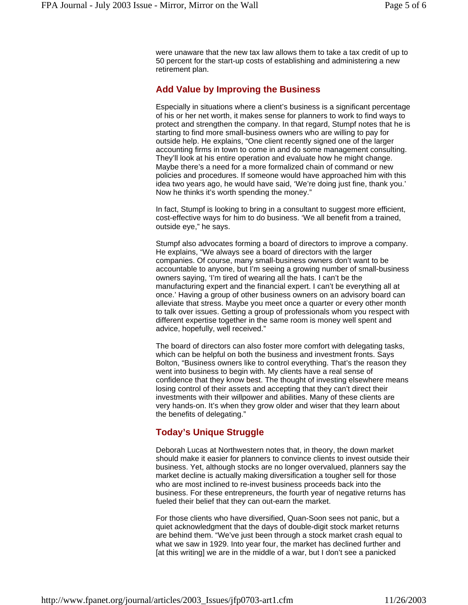were unaware that the new tax law allows them to take a tax credit of up to 50 percent for the start-up costs of establishing and administering a new retirement plan.

#### **Add Value by Improving the Business**

Especially in situations where a client's business is a significant percentage of his or her net worth, it makes sense for planners to work to find ways to protect and strengthen the company. In that regard, Stumpf notes that he is starting to find more small-business owners who are willing to pay for outside help. He explains, "One client recently signed one of the larger accounting firms in town to come in and do some management consulting. They'll look at his entire operation and evaluate how he might change. Maybe there's a need for a more formalized chain of command or new policies and procedures. If someone would have approached him with this idea two years ago, he would have said, 'We're doing just fine, thank you.' Now he thinks it's worth spending the money."

In fact, Stumpf is looking to bring in a consultant to suggest more efficient, cost-effective ways for him to do business. 'We all benefit from a trained, outside eye," he says.

Stumpf also advocates forming a board of directors to improve a company. He explains, "We always see a board of directors with the larger companies. Of course, many small-business owners don't want to be accountable to anyone, but I'm seeing a growing number of small-business owners saying, 'I'm tired of wearing all the hats. I can't be the manufacturing expert and the financial expert. I can't be everything all at once.' Having a group of other business owners on an advisory board can alleviate that stress. Maybe you meet once a quarter or every other month to talk over issues. Getting a group of professionals whom you respect with different expertise together in the same room is money well spent and advice, hopefully, well received."

The board of directors can also foster more comfort with delegating tasks, which can be helpful on both the business and investment fronts. Says Bolton, "Business owners like to control everything. That's the reason they went into business to begin with. My clients have a real sense of confidence that they know best. The thought of investing elsewhere means losing control of their assets and accepting that they can't direct their investments with their willpower and abilities. Many of these clients are very hands-on. It's when they grow older and wiser that they learn about the benefits of delegating."

# **Today's Unique Struggle**

Deborah Lucas at Northwestern notes that, in theory, the down market should make it easier for planners to convince clients to invest outside their business. Yet, although stocks are no longer overvalued, planners say the market decline is actually making diversification a tougher sell for those who are most inclined to re-invest business proceeds back into the business. For these entrepreneurs, the fourth year of negative returns has fueled their belief that they can out-earn the market.

For those clients who have diversified, Quan-Soon sees not panic, but a quiet acknowledgment that the days of double-digit stock market returns are behind them. "We've just been through a stock market crash equal to what we saw in 1929. Into year four, the market has declined further and [at this writing] we are in the middle of a war, but I don't see a panicked